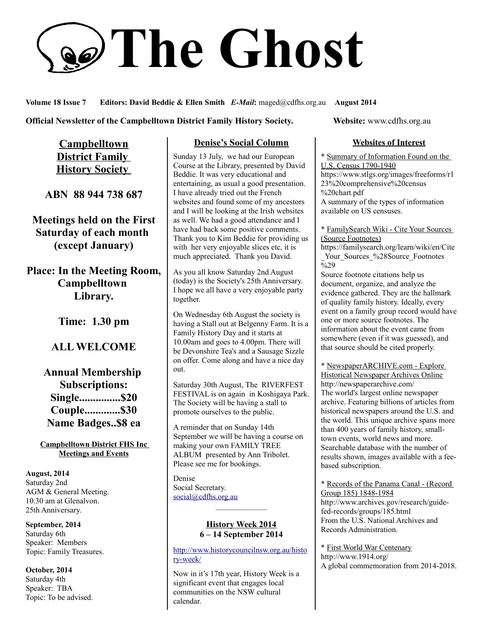# **The Ghost**

**Volume 18 Issue 7 Editors: David Beddie & Ellen Smith** *E-Mail***:** maged@cdfhs.org.au **August 2014**

**Official Newsletter of the Campbelltown District Family History Society. Website: www.cdfhs.org.au** 

**Campbelltown District Family History Society** 

**ABN 88 944 738 687**

**Meetings held on the First Saturday of each month (except January)**

**Place: In the Meeting Room, Campbelltown Library.**

**Time: 1.30 pm**

# **ALL WELCOME**

**Annual Membership Subscriptions: Single...............\$20 Couple.............\$30 Name Badges..\$8 ea**

**Campbelltown District FHS Inc Meetings and Events**

**August, 2014** Saturday 2nd AGM & General Meeting. 10.30 am at Glenalvon. 25th Anniversary.

**September, 2014** Saturday 6th Speaker: Members Topic: Family Treasures.

**October, 2014** Saturday 4th Speaker: TBA Topic: To be advised.

## **Denise's Social Column**

Sunday 13 July, we had our European Course at the Library, presented by David Beddie. It was very educational and entertaining, as usual a good presentation. I have already tried out the French websites and found some of my ancestors and I will be looking at the Irish websites as well. We had a good attendance and I have had back some positive comments. Thank you to Kim Beddie for providing us with her very enjoyable slices etc, it is much appreciated. Thank you David.

As you all know Saturday 2nd August (today) is the Society's 25th Anniversary. I hope we all have a very enjoyable party together.

On Wednesday 6th August the society is having a Stall out at Belgenny Farm. It is a Family History Day and it starts at 10.00am and goes to 4.00pm. There will be Devonshire Tea's and a Sausage Sizzle on offer. Come along and have a nice day out.

Saturday 30th August, The RIVERFEST FESTIVAL is on again in Koshigaya Park. The Society will be having a stall to promote ourselves to the public.

A reminder that on Sunday 14th September we will be having a course on making your own FAMILY TREE ALBUM presented by Ann Tribolet. Please see me for bookings.

Denise Social Secretary. [social@cdfhs.org.au](mailto:social@cdfhs.org.au)

#### **History Week 2014 6 – 14 September 2014**

——————–

[http://www.historycouncilnsw.org.au/histo](http://www.historycouncilnsw.org.au/history-week/) [ry-week/](http://www.historycouncilnsw.org.au/history-week/)

Now in it's 17th year, History Week is a significant event that engages local communities on the NSW cultural calendar.

## **Websites of Interest**

\* Summary of Information Found on the U.S. Census 1790-1940 https://www.stlgs.org/images/freeforms/r1 23%20comprehensive%20census %20chart.pdf A summary of the types of information available on US censuses.

#### \* FamilySearch Wiki - Cite Your Sources (Source Footnotes)

https://familysearch.org/learn/wiki/en/Cite Your Sources %28Source Footnotes  $\frac{1}{2}$ %29

Source footnote citations help us document, organize, and analyze the evidence gathered. They are the hallmark of quality family history. Ideally, every event on a family group record would have one or more source footnotes. The information about the event came from somewhere (even if it was guessed), and that source should be cited properly.

\* NewspaperARCHIVE.com - Explore Historical Newspaper Archives Online http://newspaperarchive.com/ The world's largest online newspaper archive. Featuring billions of articles from historical newspapers around the U.S. and the world. This unique archive spans more than 400 years of family history, smalltown events, world news and more. Searchable database with the number of results shown, images available with a feebased subscription.

\* Records of the Panama Canal - (Record Group 185) 1848-1984 http://www.archives.gov/research/guidefed-records/groups/185.html From the U.S. National Archives and Records Administration.

\* First World War Centenary http://www.1914.org/ A global commemoration from 2014-2018.